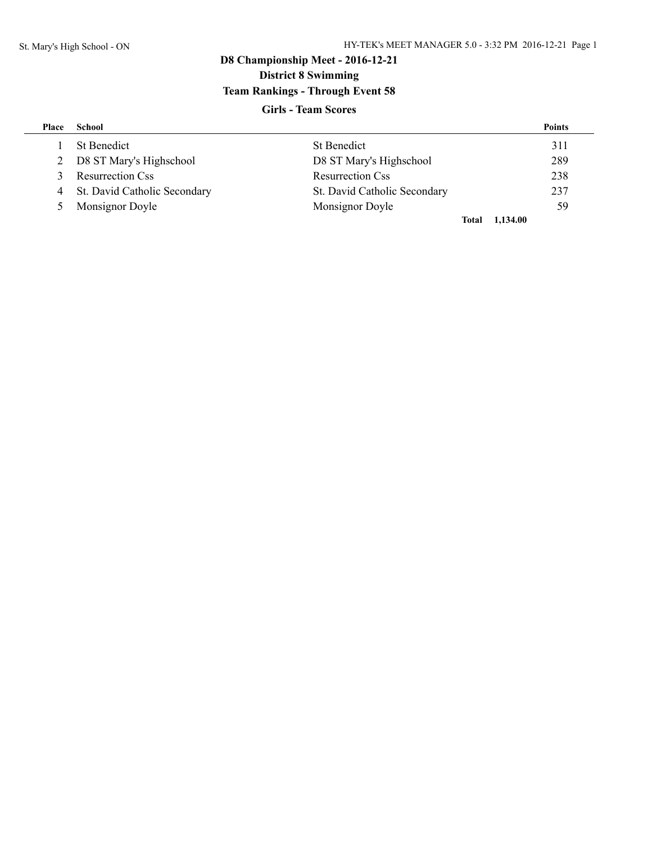# **D8 Championship Meet - 2016-12-21 District 8 Swimming Team Rankings - Through Event 58**

### **Girls - Team Scores**

| Place | School                         |                              | <b>Points</b> |
|-------|--------------------------------|------------------------------|---------------|
|       | <b>St Benedict</b>             | <b>St Benedict</b>           | 311           |
|       | 2 D8 ST Mary's Highschool      | D8 ST Mary's Highschool      | 289           |
| 3     | <b>Resurrection Css</b>        | <b>Resurrection Css</b>      | 238           |
|       | 4 St. David Catholic Secondary | St. David Catholic Secondary | 237           |
| $5 -$ | Monsignor Doyle                | Monsignor Doyle              | 59            |
|       |                                | Total                        | 1,134.00      |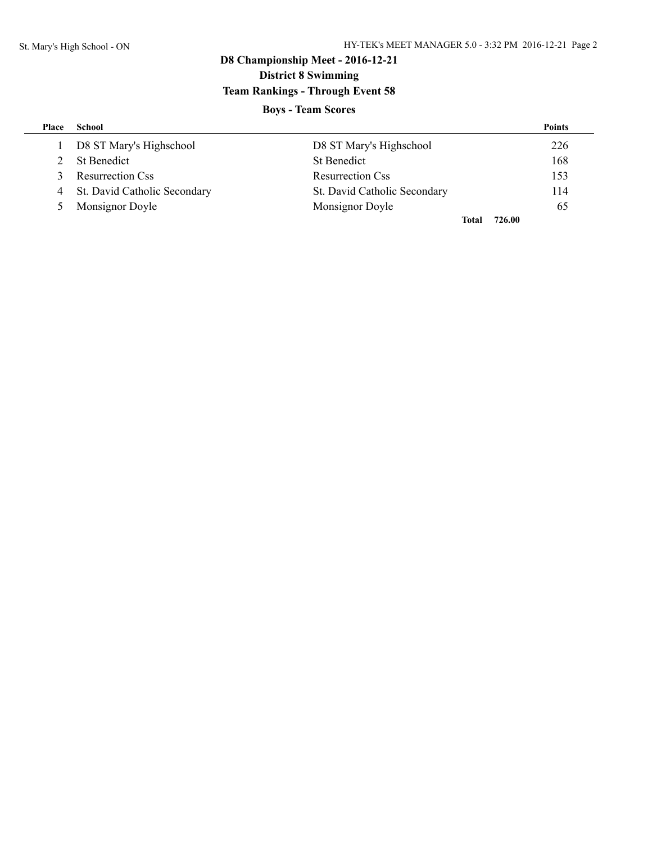# **D8 Championship Meet - 2016-12-21 District 8 Swimming Team Rankings - Through Event 58**

## **Boys - Team Scores**

| Place | School                         |                              | <b>Points</b> |
|-------|--------------------------------|------------------------------|---------------|
|       | D8 ST Mary's Highschool        | D8 ST Mary's Highschool      | 226           |
|       | <b>St Benedict</b>             | <b>St Benedict</b>           | 168           |
| 3     | <b>Resurrection Css</b>        | <b>Resurrection Css</b>      | 153           |
|       | 4 St. David Catholic Secondary | St. David Catholic Secondary | 114           |
| 5     | Monsignor Doyle                | Monsignor Doyle              | 65            |
|       |                                | Total                        | 726.00        |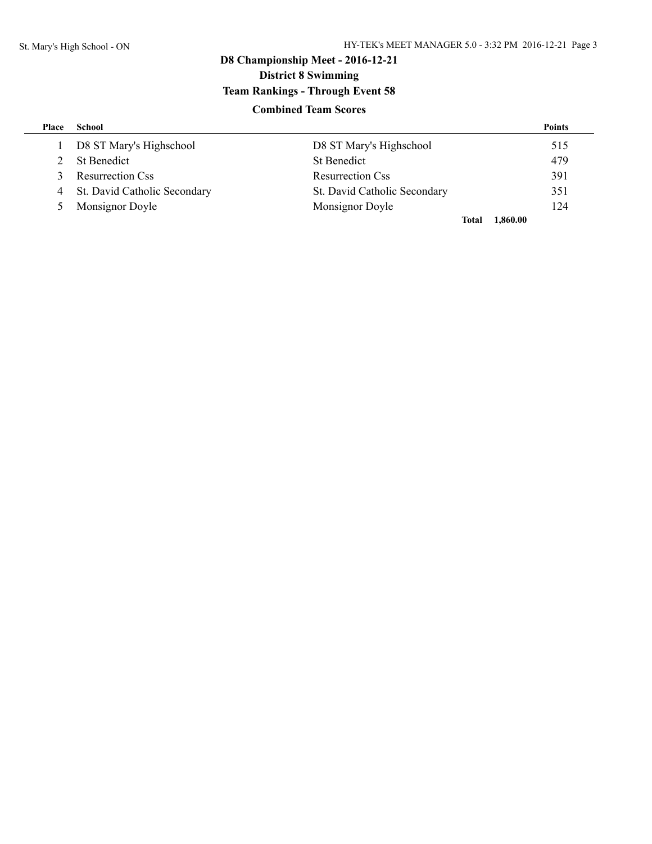# **D8 Championship Meet - 2016-12-21 District 8 Swimming Team Rankings - Through Event 58**

### **Combined Team Scores**

| Place | School                         |                              | <b>Points</b> |
|-------|--------------------------------|------------------------------|---------------|
|       | D8 ST Mary's Highschool        | D8 ST Mary's Highschool      | 515           |
|       | St Benedict                    | <b>St Benedict</b>           | 479           |
| 3     | <b>Resurrection Css</b>        | <b>Resurrection Css</b>      | 391           |
|       | 4 St. David Catholic Secondary | St. David Catholic Secondary | 351           |
| $5 -$ | Monsignor Doyle                | Monsignor Doyle              | 124           |
|       |                                | Total                        | 1,860.00      |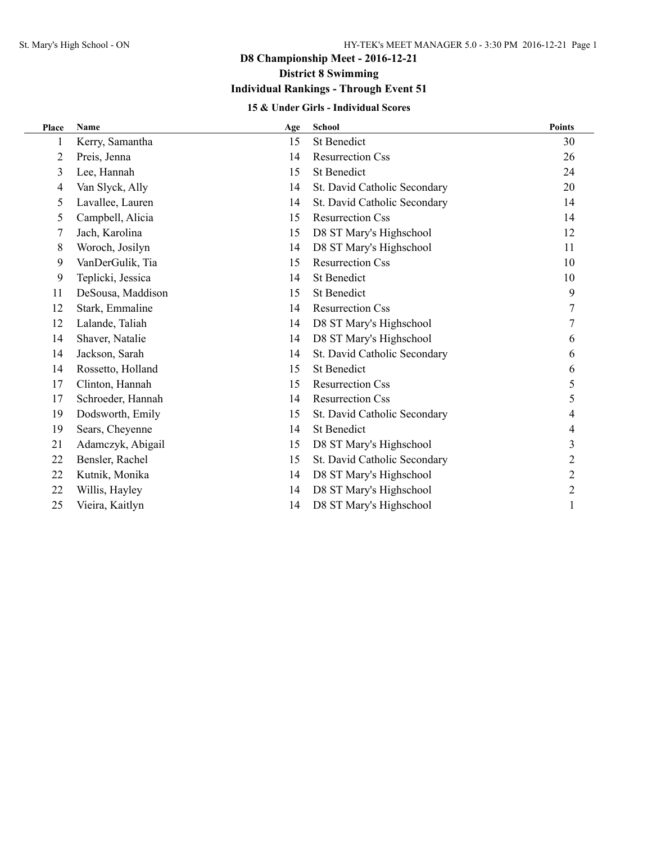**District 8 Swimming**

## **Individual Rankings - Through Event 51**

### **15 & Under Girls - Individual Scores**

| Place | <b>Name</b>       | Age | <b>School</b>                | <b>Points</b>  |
|-------|-------------------|-----|------------------------------|----------------|
|       | Kerry, Samantha   | 15  | <b>St Benedict</b>           | 30             |
| 2     | Preis, Jenna      | 14  | <b>Resurrection Css</b>      | 26             |
| 3     | Lee, Hannah       | 15  | <b>St Benedict</b>           | 24             |
| 4     | Van Slyck, Ally   | 14  | St. David Catholic Secondary | 20             |
| 5     | Lavallee, Lauren  | 14  | St. David Catholic Secondary | 14             |
| 5     | Campbell, Alicia  | 15  | <b>Resurrection Css</b>      | 14             |
| 7     | Jach, Karolina    | 15  | D8 ST Mary's Highschool      | 12             |
| 8     | Woroch, Josilyn   | 14  | D8 ST Mary's Highschool      | 11             |
| 9     | VanDerGulik, Tia  | 15  | <b>Resurrection Css</b>      | 10             |
| 9     | Teplicki, Jessica | 14  | <b>St Benedict</b>           | 10             |
| 11    | DeSousa, Maddison | 15  | <b>St Benedict</b>           | 9              |
| 12    | Stark, Emmaline   | 14  | <b>Resurrection Css</b>      | 7              |
| 12    | Lalande, Taliah   | 14  | D8 ST Mary's Highschool      |                |
| 14    | Shaver, Natalie   | 14  | D8 ST Mary's Highschool      | 6              |
| 14    | Jackson, Sarah    | 14  | St. David Catholic Secondary | 6              |
| 14    | Rossetto, Holland | 15  | <b>St Benedict</b>           | 6              |
| 17    | Clinton, Hannah   | 15  | <b>Resurrection Css</b>      | 5              |
| 17    | Schroeder, Hannah | 14  | <b>Resurrection Css</b>      | 5              |
| 19    | Dodsworth, Emily  | 15  | St. David Catholic Secondary | 4              |
| 19    | Sears, Cheyenne   | 14  | <b>St Benedict</b>           | 4              |
| 21    | Adamczyk, Abigail | 15  | D8 ST Mary's Highschool      | 3              |
| 22    | Bensler, Rachel   | 15  | St. David Catholic Secondary | $\overline{2}$ |
| 22    | Kutnik, Monika    | 14  | D8 ST Mary's Highschool      | $\overline{2}$ |
| 22    | Willis, Hayley    | 14  | D8 ST Mary's Highschool      | 2              |
| 25    | Vieira, Kaitlyn   | 14  | D8 ST Mary's Highschool      | 1              |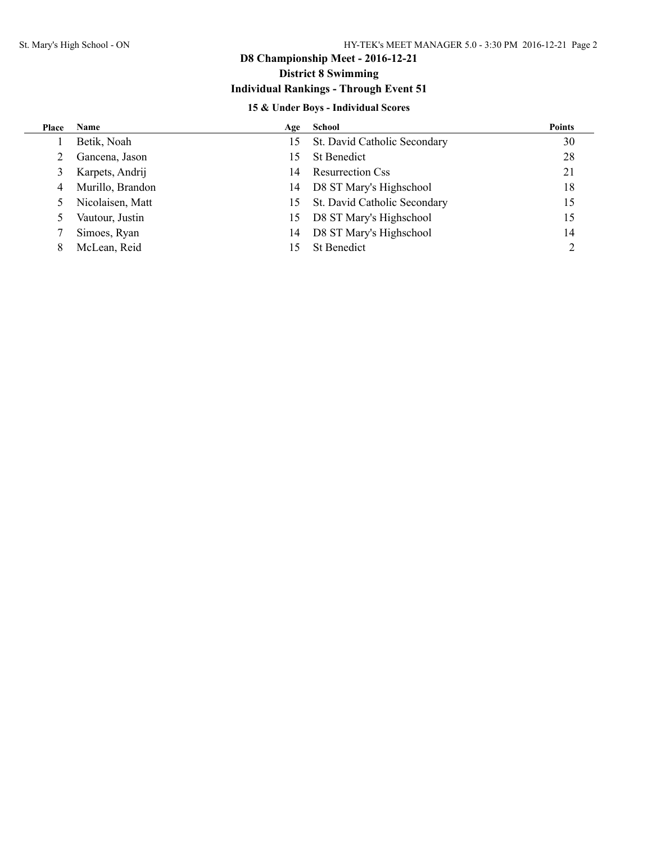### **District 8 Swimming**

### **Individual Rankings - Through Event 51**

### **15 & Under Boys - Individual Scores**

| Place | <b>Name</b>      | Age | School                       | <b>Points</b> |
|-------|------------------|-----|------------------------------|---------------|
|       | Betik, Noah      | 15  | St. David Catholic Secondary | 30            |
|       | Gancena, Jason   | 15  | <b>St Benedict</b>           | 28            |
| 3     | Karpets, Andrij  | 14  | <b>Resurrection Css</b>      | 21            |
| 4     | Murillo, Brandon | 14  | D8 ST Mary's Highschool      | 18            |
|       | Nicolaisen, Matt | 15. | St. David Catholic Secondary | 15            |
|       | Vautour, Justin  | 15  | D8 ST Mary's Highschool      | 15            |
|       | Simoes, Ryan     | 14  | D8 ST Mary's Highschool      | 14            |
| 8     | McLean, Reid     | 15  | St Benedict                  |               |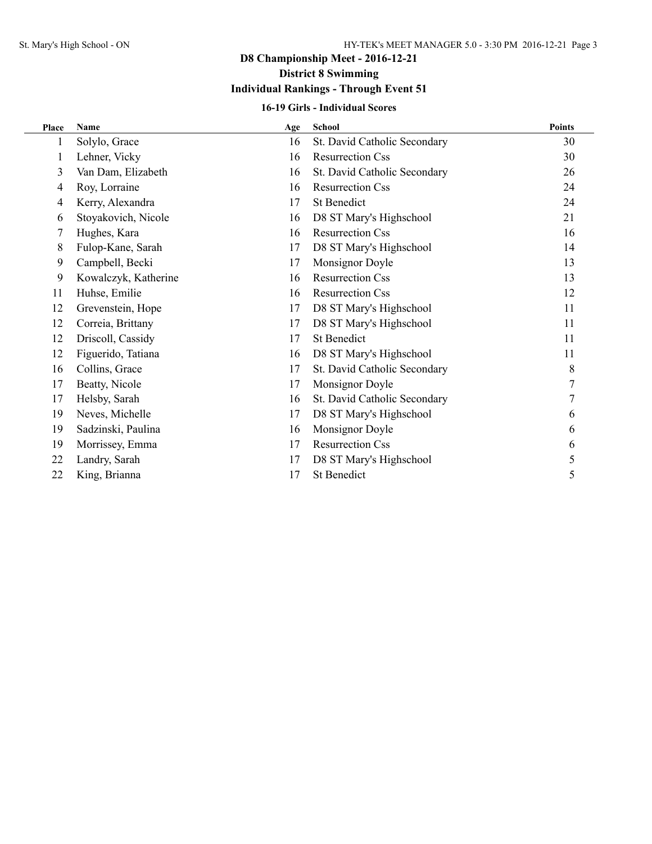# **District 8 Swimming**

## **Individual Rankings - Through Event 51**

### **16-19 Girls - Individual Scores**

| Place | <b>Name</b>          | Age | <b>School</b>                | <b>Points</b> |
|-------|----------------------|-----|------------------------------|---------------|
|       | Solylo, Grace        | 16  | St. David Catholic Secondary | 30            |
| 1     | Lehner, Vicky        | 16  | <b>Resurrection Css</b>      | 30            |
| 3     | Van Dam, Elizabeth   | 16  | St. David Catholic Secondary | 26            |
| 4     | Roy, Lorraine        | 16  | <b>Resurrection Css</b>      | 24            |
| 4     | Kerry, Alexandra     | 17  | <b>St Benedict</b>           | 24            |
| 6     | Stoyakovich, Nicole  | 16  | D8 ST Mary's Highschool      | 21            |
| 7     | Hughes, Kara         | 16  | <b>Resurrection Css</b>      | 16            |
| 8     | Fulop-Kane, Sarah    | 17  | D8 ST Mary's Highschool      | 14            |
| 9     | Campbell, Becki      | 17  | Monsignor Doyle              | 13            |
| 9     | Kowalczyk, Katherine | 16  | <b>Resurrection Css</b>      | 13            |
| 11    | Huhse, Emilie        | 16  | <b>Resurrection Css</b>      | 12            |
| 12    | Grevenstein, Hope    | 17  | D8 ST Mary's Highschool      | 11            |
| 12    | Correia, Brittany    | 17  | D8 ST Mary's Highschool      | 11            |
| 12    | Driscoll, Cassidy    | 17  | <b>St Benedict</b>           | 11            |
| 12    | Figuerido, Tatiana   | 16  | D8 ST Mary's Highschool      | 11            |
| 16    | Collins, Grace       | 17  | St. David Catholic Secondary | 8             |
| 17    | Beatty, Nicole       | 17  | Monsignor Doyle              |               |
| 17    | Helsby, Sarah        | 16  | St. David Catholic Secondary | 7             |
| 19    | Neves, Michelle      | 17  | D8 ST Mary's Highschool      | 6             |
| 19    | Sadzinski, Paulina   | 16  | Monsignor Doyle              | 6             |
| 19    | Morrissey, Emma      | 17  | <b>Resurrection Css</b>      | 6             |
| 22    | Landry, Sarah        | 17  | D8 ST Mary's Highschool      | 5             |
| 22    | King, Brianna        | 17  | <b>St Benedict</b>           | 5             |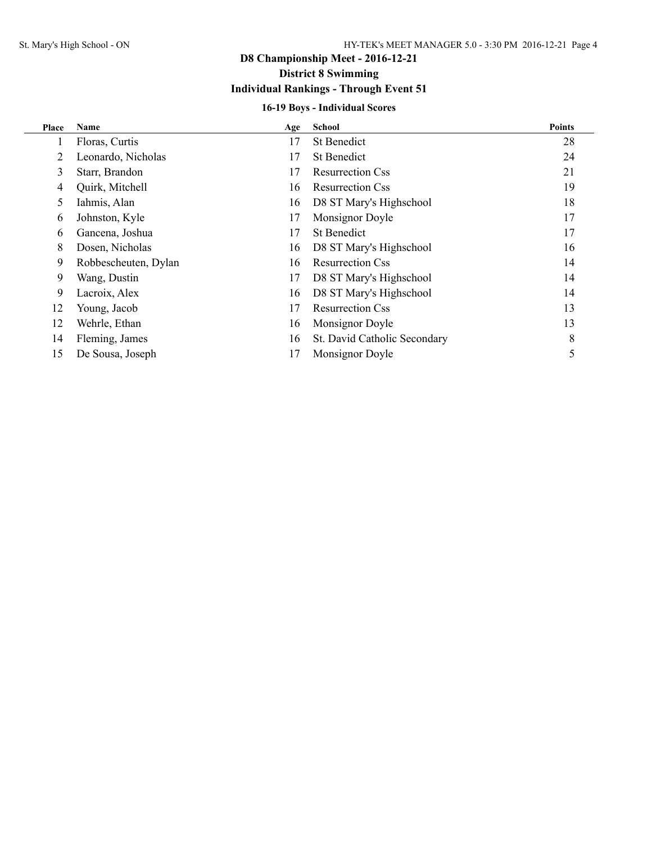### **District 8 Swimming**

## **Individual Rankings - Through Event 51**

### **16-19 Boys - Individual Scores**

| Place | <b>Name</b>          | Age | <b>School</b>                | <b>Points</b> |
|-------|----------------------|-----|------------------------------|---------------|
|       | Floras, Curtis       | 17  | <b>St Benedict</b>           | 28            |
| 2     | Leonardo, Nicholas   | 17  | <b>St Benedict</b>           | 24            |
| 3     | Starr, Brandon       | 17  | <b>Resurrection Css</b>      | 21            |
| 4     | Quirk, Mitchell      | 16  | <b>Resurrection Css</b>      | 19            |
| 5     | Iahmis, Alan         | 16  | D8 ST Mary's Highschool      | 18            |
| 6     | Johnston, Kyle       | 17  | Monsignor Doyle              | 17            |
| 6     | Gancena, Joshua      | 17  | <b>St Benedict</b>           | 17            |
| 8     | Dosen, Nicholas      | 16  | D8 ST Mary's Highschool      | 16            |
| 9     | Robbescheuten, Dylan | 16  | <b>Resurrection Css</b>      | 14            |
| 9     | Wang, Dustin         | 17  | D8 ST Mary's Highschool      | 14            |
| 9     | Lacroix, Alex        | 16  | D8 ST Mary's Highschool      | 14            |
| 12    | Young, Jacob         | 17  | <b>Resurrection Css</b>      | 13            |
| 12    | Wehrle, Ethan        | 16  | Monsignor Doyle              | 13            |
| 14    | Fleming, James       | 16  | St. David Catholic Secondary | 8             |
| 15    | De Sousa, Joseph     | 17  | Monsignor Doyle              | 5             |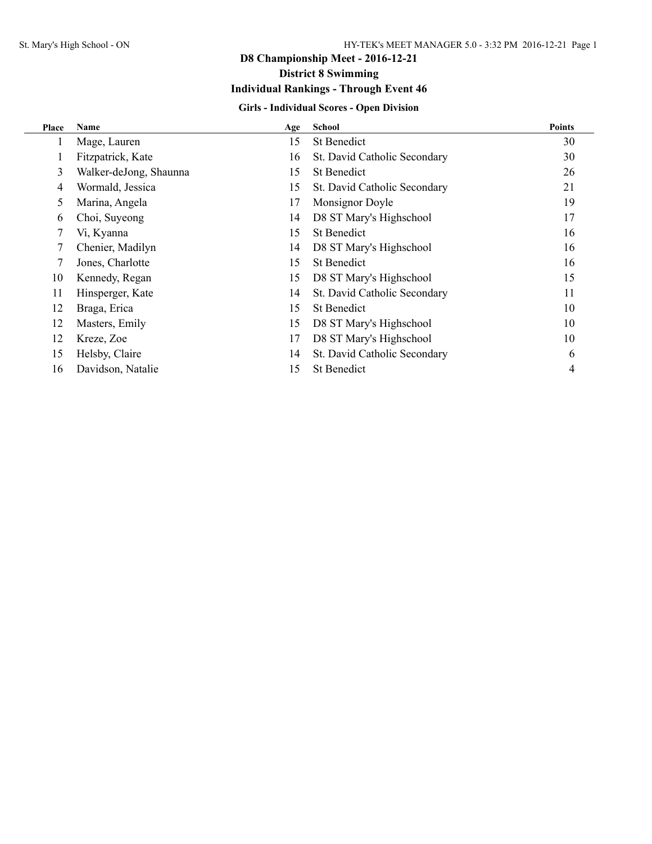## **District 8 Swimming**

### **Individual Rankings - Through Event 46**

### **Girls - Individual Scores - Open Division**

| Place | Name                   | Age | <b>School</b>                | <b>Points</b> |
|-------|------------------------|-----|------------------------------|---------------|
| 1     | Mage, Lauren           | 15  | <b>St Benedict</b>           | 30            |
| 1     | Fitzpatrick, Kate      | 16  | St. David Catholic Secondary | 30            |
| 3     | Walker-deJong, Shaunna | 15  | <b>St Benedict</b>           | 26            |
| 4     | Wormald, Jessica       | 15  | St. David Catholic Secondary | 21            |
| 5     | Marina, Angela         | 17  | Monsignor Doyle              | 19            |
| 6     | Choi, Suyeong          | 14  | D8 ST Mary's Highschool      | 17            |
| 7     | Vi, Kyanna             | 15  | <b>St Benedict</b>           | 16            |
| 7     | Chenier, Madilyn       | 14  | D8 ST Mary's Highschool      | 16            |
| 7     | Jones, Charlotte       | 15  | <b>St Benedict</b>           | 16            |
| 10    | Kennedy, Regan         | 15  | D8 ST Mary's Highschool      | 15            |
| 11    | Hinsperger, Kate       | 14  | St. David Catholic Secondary | 11            |
| 12    | Braga, Erica           | 15  | <b>St Benedict</b>           | 10            |
| 12    | Masters, Emily         | 15  | D8 ST Mary's Highschool      | 10            |
| 12    | Kreze, Zoe             | 17  | D8 ST Mary's Highschool      | 10            |
| 15    | Helsby, Claire         | 14  | St. David Catholic Secondary | 6             |
| 16    | Davidson, Natalie      | 15  | <b>St Benedict</b>           | 4             |
|       |                        |     |                              |               |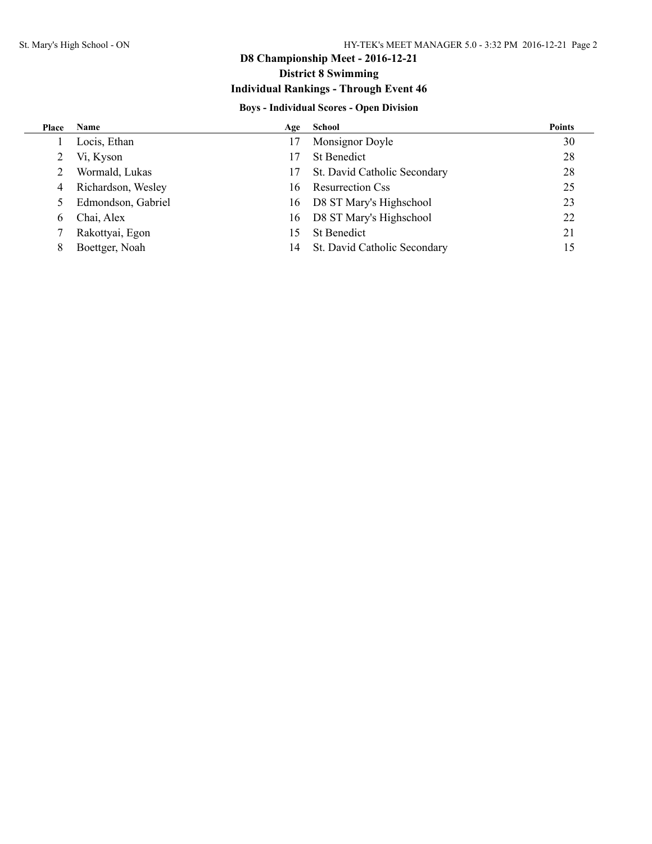### **District 8 Swimming**

### **Individual Rankings - Through Event 46**

### **Boys - Individual Scores - Open Division**

| Place | <b>Name</b>        |    | Age School                   | <b>Points</b> |
|-------|--------------------|----|------------------------------|---------------|
|       | Locis, Ethan       | 17 | Monsignor Doyle              | 30            |
|       | Vi, Kyson          |    | <b>St Benedict</b>           | 28            |
|       | Wormald, Lukas     | 17 | St. David Catholic Secondary | 28            |
| 4     | Richardson, Wesley | 16 | <b>Resurrection Css</b>      | 25            |
|       | Edmondson, Gabriel | 16 | D8 ST Mary's Highschool      | 23            |
| 6     | Chai, Alex         | 16 | D8 ST Mary's Highschool      | 22            |
|       | Rakottyai, Egon    | 15 | <b>St Benedict</b>           | 21            |
|       | Boettger, Noah     | 14 | St. David Catholic Secondary | 15            |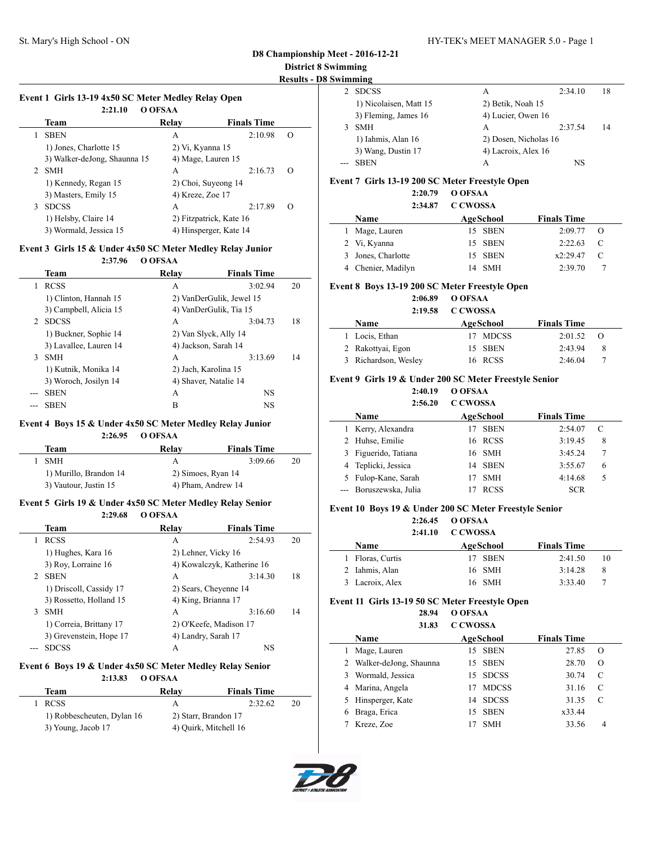$\sim$ 

 $\sim$ 

### **District 8 Swimming**

**Results - D8 Swimming**

| vımmıng                |                       |         |    |
|------------------------|-----------------------|---------|----|
| <b>SDCSS</b>           | А                     | 2:34.10 | 18 |
| 1) Nicolaisen, Matt 15 | 2) Betik, Noah 15     |         |    |
| 3) Fleming, James 16   | 4) Lucier, Owen 16    |         |    |
| <b>SMH</b>             | А                     | 2:37.54 | 14 |
| 1) Iahmis, Alan 16     | 2) Dosen, Nicholas 16 |         |    |
| 3) Wang, Dustin 17     | 4) Lacroix, Alex 16   |         |    |
| <b>SBEN</b>            | А                     | NS      |    |

#### **Event 7 Girls 13-19 200 SC Meter Freestyle Open**

#### **2:20.79 O OFSAA 2:34.87 C CWOSSA**

| 2:34.87            | C CWOSSA |           |                    |               |  |
|--------------------|----------|-----------|--------------------|---------------|--|
| <b>Name</b>        |          | AgeSchool | <b>Finals Time</b> |               |  |
| 1 Mage, Lauren     |          | 15 SBEN   | $2:09.77$ O        |               |  |
| 2 Vi, Kyanna       |          | 15 SBEN   | 2:22.63            | $\mathcal{C}$ |  |
| 3 Jones, Charlotte |          | 15 SBEN   | x2:29.47           | $\mathbb{C}$  |  |
| 4 Chenier, Madilyn |          | 14 SMH    | 2:39.70            |               |  |

#### **Event 8 Boys 13-19 200 SC Meter Freestyle Open**

#### **2:06.89 O OFSAA 2:19.58 C CWOSSA**

| <u>_</u>  |                    |          |                  |  |
|-----------|--------------------|----------|------------------|--|
| AgeSchool | <b>Finals Time</b> |          |                  |  |
|           | 2:01.52            |          |                  |  |
| 15 SBEN   | 2:43.94            | 8        |                  |  |
| 16 RCSS   | 2:46.04            |          |                  |  |
|           |                    | 17 MDCSS | $\left( \right)$ |  |

#### **Event 9 Girls 19 & Under 200 SC Meter Freestyle Senior**

**2:40.19 O OFSAA 2:56.20 C CWOSSA**

|    | 2:56.ZU                | COWOSSA          |             |                    |   |  |
|----|------------------------|------------------|-------------|--------------------|---|--|
|    | Name                   | <b>AgeSchool</b> |             | <b>Finals Time</b> |   |  |
|    | Kerry, Alexandra       |                  | <b>SBEN</b> | 2:54.07            | C |  |
|    | 2 Huhse, Emilie        | 16 RCSS          |             | 3:19.45            | 8 |  |
| 3  | Figuerido, Tatiana     | 16 SMH           |             | 3:45.24            | 7 |  |
|    | 4 Teplicki, Jessica    | 14 SBEN          |             | 3:55.67            | 6 |  |
| 5. | Fulop-Kane, Sarah      | 17               | <b>SMH</b>  | 4:14.68            | 5 |  |
|    | --- Boruszewska, Julia |                  | <b>RCSS</b> | <b>SCR</b>         |   |  |
|    |                        |                  |             |                    |   |  |

#### **Event 10 Boys 19 & Under 200 SC Meter Freestyle Senior**

**2:26.45 O OFSAA**

#### **2:41.10 C CWOSSA**

| <b>Name</b>      | AgeSchool | <b>Finals Time</b> |    |
|------------------|-----------|--------------------|----|
| 1 Floras, Curtis | 17 SBEN   | 2:41.50            | 10 |
| 2 Iahmis, Alan   | 16 SMH    | 3:14.28            | -8 |
| 3 Lacroix, Alex  | 16 SMH    | 3:33.40            |    |

#### **Event 11 Girls 13-19 50 SC Meter Freestyle Open**

| 28.94        | O OFSAA  |
|--------------|----------|
| <b>21.02</b> | C CWARCA |

|    | 31.83                    | COWOSSA   |              |                    |          |  |
|----|--------------------------|-----------|--------------|--------------------|----------|--|
|    | Name                     | AgeSchool |              | <b>Finals Time</b> |          |  |
| 1. | Mage, Lauren             |           | 15 SBEN      | 27.85              | $\Omega$ |  |
|    | 2 Walker-deJong, Shaunna |           | 15 SBEN      | 28.70              | $\Omega$ |  |
|    | 3 Wormald, Jessica       |           | 15 SDCSS     | 30.74              | C        |  |
|    | 4 Marina, Angela         | 17        | <b>MDCSS</b> | 31.16              | C        |  |
|    | 5 Hinsperger, Kate       |           | 14 SDCSS     | 31.35              | C        |  |
| 6  | Braga, Erica             |           | 15 SBEN      | x33.44             |          |  |
|    | Kreze, Zoe               |           | <b>SMH</b>   | 33.56              |          |  |



#### **Event 1 Girls 13-19 4x50 SC Meter Medley Relay Open 2:21.10 O OFSAA**

|                | 2:21.10                      | O OFSAA                 |                    |          |
|----------------|------------------------------|-------------------------|--------------------|----------|
|                | Team                         | Relay                   | <b>Finals Time</b> |          |
|                | <b>SBEN</b>                  | А                       | 2:10.98            | $\Omega$ |
|                | 1) Jones, Charlotte 15       | 2) Vi, Kyanna 15        |                    |          |
|                | 3) Walker-deJong, Shaunna 15 | 4) Mage, Lauren 15      |                    |          |
| $\mathfrak{D}$ | <b>SMH</b>                   | А                       | 2:16.73            | $\Omega$ |
|                | 1) Kennedy, Regan 15         | 2) Choi, Suyeong 14     |                    |          |
|                | 3) Masters, Emily 15         | 4) Kreze, Zoe 17        |                    |          |
| 3              | <b>SDCSS</b>                 | A                       | 2:17.89            | $\Omega$ |
|                | 1) Helsby, Claire 14         | 2) Fitzpatrick, Kate 16 |                    |          |
|                | 3) Wormald, Jessica 15       | 4) Hinsperger, Kate 14  |                    |          |

#### **Event 3 Girls 15 & Under 4x50 SC Meter Medley Relay Junior**

**2:37.96 O OFSAA**

|   | Team                   | Relav                 | <b>Finals Time</b>       |    |
|---|------------------------|-----------------------|--------------------------|----|
|   | <b>RCSS</b>            | A                     | 3:02.94                  | 20 |
|   | 1) Clinton, Hannah 15  |                       | 2) VanDerGulik, Jewel 15 |    |
|   | 3) Campbell, Alicia 15 |                       | 4) VanDerGulik, Tia 15   |    |
| 2 | <b>SDCSS</b>           | A                     | 3:04.73                  | 18 |
|   | 1) Buckner, Sophie 14  | 2) Van Slyck, Ally 14 |                          |    |
|   | 3) Lavallee, Lauren 14 | 4) Jackson, Sarah 14  |                          |    |
| 3 | <b>SMH</b>             | A                     | 3:13.69                  | 14 |
|   | 1) Kutnik, Monika 14   | 2) Jach, Karolina 15  |                          |    |
|   | 3) Woroch, Josilyn 14  | 4) Shaver, Natalie 14 |                          |    |
|   | <b>SBEN</b>            | A                     | <b>NS</b>                |    |
|   | <b>SBEN</b>            | в                     | <b>NS</b>                |    |

#### **Event 4 Boys 15 & Under 4x50 SC Meter Medley Relay Junior**

**2:26.95 O OFSAA**

| Team                   | Relay              | <b>Finals Time</b> |  |
|------------------------|--------------------|--------------------|--|
| <b>SMH</b>             | А                  | 3:09.66<br>20      |  |
| 1) Murillo, Brandon 14 | 2) Simoes, Ryan 14 |                    |  |
| 3) Vautour, Justin 15  |                    | 4) Pham, Andrew 14 |  |

#### **Event 5 Girls 19 & Under 4x50 SC Meter Medley Relay Senior 2:29.68 O OFSAA**

|                | Team                    | Relav               | <b>Finals Time</b>         |    |
|----------------|-------------------------|---------------------|----------------------------|----|
|                | <b>RCSS</b>             | А                   | 2:54.93                    | 20 |
|                | 1) Hughes, Kara 16      |                     | 2) Lehner, Vicky 16        |    |
|                | 3) Roy, Lorraine 16     |                     | 4) Kowalczyk, Katherine 16 |    |
| $\mathfrak{D}$ | <b>SBEN</b>             | А                   | 3:14.30                    | 18 |
|                | 1) Driscoll, Cassidy 17 |                     | 2) Sears, Cheyenne 14      |    |
|                | 3) Rossetto, Holland 15 | 4) King, Brianna 17 |                            |    |
| 3              | <b>SMH</b>              | A                   | 3:16.60                    | 14 |
|                | 1) Correia, Brittany 17 |                     | 2) O'Keefe, Madison 17     |    |
|                | 3) Grevenstein, Hope 17 | 4) Landry, Sarah 17 |                            |    |
|                | <b>SDCSS</b>            | А                   | NS                         |    |

#### **Event 6 Boys 19 & Under 4x50 SC Meter Medley Relay Senior 2:13.83 O OFSAA**

| 2. IJ.OJ                   | $\mathbf{v}$ |                       |    |
|----------------------------|--------------|-----------------------|----|
| Team                       | Relay        | <b>Finals Time</b>    |    |
| <b>RCSS</b>                |              | 2:32.62               | 20 |
| 1) Robbescheuten, Dylan 16 |              | 2) Starr, Brandon 17  |    |
| 3) Young, Jacob 17         |              | 4) Quirk, Mitchell 16 |    |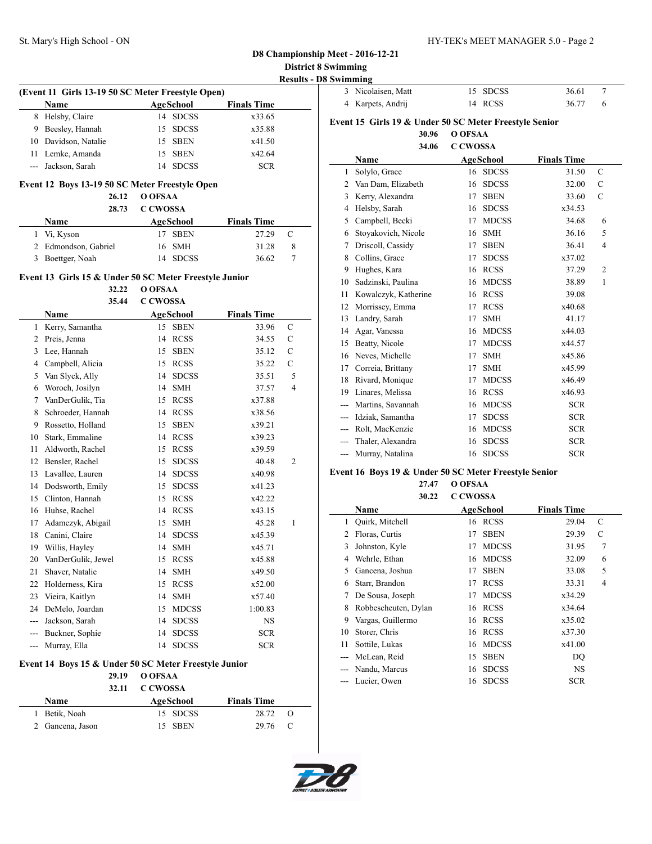### **D8 Championship Meet - 2016-12-21 District 8 Swimming**

**Results - D8 Swimming**

| --- - - - - - - |                    |          |       |  |
|-----------------|--------------------|----------|-------|--|
|                 | 3 Nicolaisen, Matt | 15 SDCSS | 36.61 |  |
|                 | 4 Karpets, Andrij  | 14 RCSS  | 36.77 |  |

#### **Event 15 Girls 19 & Under 50 SC Meter Freestyle Senior 30.96 O OFSAA**

#### **34.06 C CWOSSA**

| Name  |                      | AgeSchool |              | <b>Finals Time</b> |                |  |
|-------|----------------------|-----------|--------------|--------------------|----------------|--|
| 1     | Solylo, Grace        |           | 16 SDCSS     | 31.50              | $\mathcal{C}$  |  |
| 2     | Van Dam, Elizabeth   | 16        | <b>SDCSS</b> | 32.00              | $\mathbf C$    |  |
| 3     | Kerry, Alexandra     | 17        | <b>SBEN</b>  | 33.60              | C              |  |
| 4     | Helsby, Sarah        | 16        | <b>SDCSS</b> | x34.53             |                |  |
| 5     | Campbell, Becki      | 17        | <b>MDCSS</b> | 34.68              | 6              |  |
| 6     | Stoyakovich, Nicole  | 16        | <b>SMH</b>   | 36.16              | 5              |  |
| 7     | Driscoll, Cassidy    | 17        | <b>SBEN</b>  | 36.41              | 4              |  |
| 8     | Collins, Grace       | 17        | <b>SDCSS</b> | x37.02             |                |  |
| 9     | Hughes, Kara         | 16        | <b>RCSS</b>  | 37.29              | $\overline{2}$ |  |
| 10    | Sadzinski, Paulina   | 16        | <b>MDCSS</b> | 38.89              | 1              |  |
| 11    | Kowalczyk, Katherine | 16        | <b>RCSS</b>  | 39.08              |                |  |
| 12    | Morrissey, Emma      | 17        | <b>RCSS</b>  | x40.68             |                |  |
| 13    | Landry, Sarah        | 17        | <b>SMH</b>   | 41.17              |                |  |
| 14    | Agar, Vanessa        | 16        | <b>MDCSS</b> | x44.03             |                |  |
| 15    | Beatty, Nicole       | 17        | <b>MDCSS</b> | x44.57             |                |  |
| 16    | Neves, Michelle      | 17        | <b>SMH</b>   | x45.86             |                |  |
| 17    | Correia, Brittany    | 17        | <b>SMH</b>   | x45.99             |                |  |
| 18    | Rivard, Monique      | 17        | <b>MDCSS</b> | x46.49             |                |  |
| 19    | Linares, Melissa     | 16        | <b>RCSS</b>  | x46.93             |                |  |
| $---$ | Martins, Savannah    | 16        | <b>MDCSS</b> | <b>SCR</b>         |                |  |
| $---$ | Idziak, Samantha     | 17        | <b>SDCSS</b> | <b>SCR</b>         |                |  |
|       | Rolt, MacKenzie      | 16        | <b>MDCSS</b> | <b>SCR</b>         |                |  |
|       | Thaler, Alexandra    | 16        | <b>SDCSS</b> | <b>SCR</b>         |                |  |
| $---$ | Murray, Natalina     | 16        | <b>SDCSS</b> | <b>SCR</b>         |                |  |

#### **Event 16 Boys 19 & Under 50 SC Meter Freestyle Senior**

**27.47 O OFSAA**

|    | 30.22                | <b>C CWOSSA</b>    |                    |                |  |
|----|----------------------|--------------------|--------------------|----------------|--|
|    | Name                 | <b>AgeSchool</b>   | <b>Finals Time</b> |                |  |
| 1  | Quirk, Mitchell      | <b>RCSS</b><br>16  | 29.04              | C              |  |
| 2  | Floras, Curtis       | <b>SBEN</b><br>17  | 29.39              | C              |  |
| 3  | Johnston, Kyle       | <b>MDCSS</b><br>17 | 31.95              | 7              |  |
| 4  | Wehrle, Ethan        | <b>MDCSS</b><br>16 | 32.09              | 6              |  |
| 5  | Gancena, Joshua      | <b>SBEN</b><br>17  | 33.08              | 5              |  |
| 6  | Starr, Brandon       | <b>RCSS</b><br>17  | 33.31              | $\overline{4}$ |  |
| 7  | De Sousa, Joseph     | <b>MDCSS</b><br>17 | x34.29             |                |  |
| 8  | Robbescheuten, Dylan | <b>RCSS</b><br>16  | x34.64             |                |  |
| 9  | Vargas, Guillermo    | <b>RCSS</b><br>16  | x35.02             |                |  |
| 10 | Storer, Chris        | <b>RCSS</b><br>16  | x37.30             |                |  |
| 11 | Sottile, Lukas       | <b>MDCSS</b><br>16 | x41.00             |                |  |
|    | McLean, Reid         | <b>SBEN</b><br>15  | DO                 |                |  |
|    | Nandu, Marcus        | <b>SDCSS</b><br>16 | <b>NS</b>          |                |  |
|    | Lucier, Owen         | <b>SDCSS</b><br>16 | <b>SCR</b>         |                |  |

|   | <b>Name</b>          | AgeSchool | <b>Finals Time</b> |
|---|----------------------|-----------|--------------------|
|   | 8 Helsby, Claire     | 14 SDCSS  | x33.65             |
| 9 | Beesley, Hannah      | 15 SDCSS  | x35.88             |
|   | 10 Davidson, Natalie | 15 SBEN   | x41.50             |
|   | 11 Lemke, Amanda     | 15 SBEN   | x42.64             |
|   | --- Jackson, Sarah   | 14 SDCSS  | <b>SCR</b>         |

#### **Event 12 Boys 13-19 50 SC Meter Freestyle Open**

**26.12 O OFSAA**

| 28.73                | C CWOSSA  |          |                    |                |  |
|----------------------|-----------|----------|--------------------|----------------|--|
| <b>Name</b>          | AgeSchool |          | <b>Finals Time</b> |                |  |
| 1 Vi, Kyson          |           | 17 SBEN  | 27.29              | $\overline{C}$ |  |
| 2 Edmondson, Gabriel | 16 SMH    |          | 31.28              | 8              |  |
| 3 Boettger, Noah     |           | 14 SDCSS | 36.62              |                |  |

# **Event 13 Girls 15 & Under 50 SC Meter Freestyle Junior**

**32.22 O OFSAA**

|       | 32.22              | O OFSAA         |              |                    |                |
|-------|--------------------|-----------------|--------------|--------------------|----------------|
|       | 35.44              | <b>C CWOSSA</b> |              |                    |                |
|       | Name               |                 | AgeSchool    | <b>Finals Time</b> |                |
| 1     | Kerry, Samantha    | 15              | <b>SBEN</b>  | 33.96              | $\mathbf C$    |
| 2     | Preis, Jenna       | 14              | <b>RCSS</b>  | 34.55              | $\mathsf{C}$   |
| 3     | Lee, Hannah        | 15              | <b>SBEN</b>  | 35.12              | $\mathbf C$    |
| 4     | Campbell, Alicia   | 15              | <b>RCSS</b>  | 35.22              | $\mathsf{C}$   |
| 5     | Van Slyck, Ally    | 14              | <b>SDCSS</b> | 35.51              | 5              |
| 6     | Woroch, Josilyn    | 14              | <b>SMH</b>   | 37.57              | $\overline{4}$ |
| 7     | VanDerGulik, Tia   | 15              | <b>RCSS</b>  | x37.88             |                |
| 8     | Schroeder, Hannah  | 14              | <b>RCSS</b>  | x38.56             |                |
| 9     | Rossetto, Holland  | 15              | <b>SBEN</b>  | x39.21             |                |
| 10    | Stark, Emmaline    | 14              | <b>RCSS</b>  | x39.23             |                |
| 11    | Aldworth, Rachel   | 15              | <b>RCSS</b>  | x39.59             |                |
| 12    | Bensler, Rachel    | 15              | <b>SDCSS</b> | 40.48              | 2              |
| 13    | Lavallee, Lauren   | 14              | <b>SDCSS</b> | x40.98             |                |
| 14    | Dodsworth, Emily   | 15              | <b>SDCSS</b> | x41.23             |                |
| 15    | Clinton, Hannah    | 15              | <b>RCSS</b>  | x42.22             |                |
| 16    | Huhse, Rachel      | 14              | <b>RCSS</b>  | x43.15             |                |
| 17    | Adamczyk, Abigail  | 15              | <b>SMH</b>   | 45.28              | 1              |
| 18    | Canini, Claire     | 14              | <b>SDCSS</b> | x45.39             |                |
| 19    | Willis, Hayley     | 14              | <b>SMH</b>   | x45.71             |                |
| 20    | VanDerGulik, Jewel | 15              | <b>RCSS</b>  | x45.88             |                |
| 21    | Shaver, Natalie    | 14              | <b>SMH</b>   | x49.50             |                |
| 22    | Holderness, Kira   | 15              | <b>RCSS</b>  | x52.00             |                |
| 23    | Vieira, Kaitlyn    | 14              | <b>SMH</b>   | x57.40             |                |
| 24    | DeMelo, Joardan    | 15              | <b>MDCSS</b> | 1:00.83            |                |
| ---   | Jackson, Sarah     | 14              | <b>SDCSS</b> | <b>NS</b>          |                |
| $---$ | Buckner, Sophie    | 14              | <b>SDCSS</b> | <b>SCR</b>         |                |
| ---   | Murray, Ella       | 14              | <b>SDCSS</b> | <b>SCR</b>         |                |
|       |                    |                 |              |                    |                |

#### **Event 14 Boys 15 & Under 50 SC Meter Freestyle Junior**

 $\overline{a}$ 

#### **29.19 O OFSAA**

|                  | 32.11 | C CWOSSA |           |                    |     |
|------------------|-------|----------|-----------|--------------------|-----|
| Name             |       |          | AgeSchool | <b>Finals Time</b> |     |
| 1 Betik, Noah    |       |          | 15 SDCSS  | 28.72              | - 0 |
| 2 Gancena, Jason |       |          | 15 SBEN   | 29.76 C            |     |

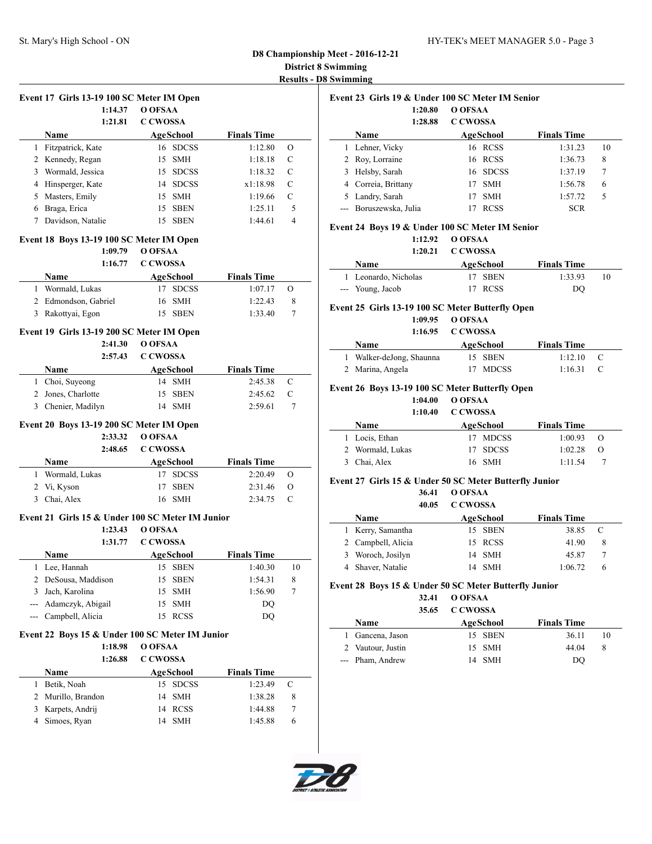#### **D8 Championship Meet - 2016-12-21 District 8 Swimming Results - D8 Swimming**

|   | Event 17 Girls 13-19 100 SC Meter IM Open           |                    |                    |              |
|---|-----------------------------------------------------|--------------------|--------------------|--------------|
|   | 1:14.37                                             | O OFSAA            |                    |              |
|   | 1:21.81                                             | <b>C CWOSSA</b>    |                    |              |
|   | Name                                                | AgeSchool          | <b>Finals Time</b> |              |
|   | 1 Fitzpatrick, Kate                                 | 16 SDCSS           | 1:12.80            | О            |
|   | 2 Kennedy, Regan                                    | 15<br><b>SMH</b>   | 1:18.18            | $\mathsf{C}$ |
|   | 3 Wormald, Jessica                                  | 15 SDCSS           | 1:18.32            | С            |
|   | 4 Hinsperger, Kate                                  | 14 SDCSS           | x1:18.98           | C            |
|   | 5 Masters, Emily                                    | 15 SMH             | 1:19.66            | C            |
|   | 6 Braga, Erica                                      | 15 SBEN            | 1:25.11            | 5            |
|   | 7 Davidson, Natalie                                 | 15 SBEN            | 1:44.61            | 4            |
|   |                                                     |                    |                    |              |
|   | Event 18 Boys 13-19 100 SC Meter IM Open<br>1:09.79 | O OFSAA            |                    |              |
|   | 1:16.77                                             | <b>C CWOSSA</b>    |                    |              |
|   |                                                     |                    |                    |              |
|   | Name                                                | AgeSchool          | <b>Finals Time</b> |              |
|   | 1 Wormald, Lukas                                    | 17 SDCSS           | 1:07.17            | O            |
|   | 2 Edmondson, Gabriel                                | 16 SMH             | 1:22.43            | 8            |
|   | 3 Rakottyai, Egon                                   | 15 SBEN            | 1:33.40            | 7            |
|   | Event 19 Girls 13-19 200 SC Meter IM Open           |                    |                    |              |
|   | 2:41.30                                             | O OFSAA            |                    |              |
|   | 2:57.43                                             | <b>C CWOSSA</b>    |                    |              |
|   | Name                                                | <b>AgeSchool</b>   | <b>Finals Time</b> |              |
|   | 1 Choi, Suyeong                                     | 14 SMH             | 2:45.38            | C            |
|   | 2 Jones, Charlotte                                  | 15 SBEN            | 2:45.62            | C            |
| 3 | Chenier, Madilyn                                    | 14 SMH             | 2:59.61            | 7            |
|   |                                                     |                    |                    |              |
|   | Event 20 Boys 13-19 200 SC Meter IM Open            |                    |                    |              |
|   | 2:33.32                                             | O OFSAA            |                    |              |
|   | 2:48.65                                             | <b>C CWOSSA</b>    |                    |              |
|   | Name                                                | AgeSchool          | <b>Finals Time</b> |              |
|   | 1 Wormald, Lukas                                    | 17 SDCSS           | 2:20.49            | O            |
|   | 2 Vi, Kyson                                         | 17<br><b>SBEN</b>  | 2:31.46            | O            |
| 3 | Chai, Alex                                          | 16 SMH             | 2:34.75            | C            |
|   | Event 21 Girls 15 & Under 100 SC Meter IM Junior    |                    |                    |              |
|   | 1:23.43                                             | O OFSAA            |                    |              |
|   | 1:31.77                                             | <b>C CWOSSA</b>    |                    |              |
|   | Name                                                | <b>AgeSchool</b>   | <b>Finals Time</b> |              |
| 1 | Lee, Hannah                                         | 15<br>SBEN         | 1:40.30            | 10           |
| 2 | DeSousa, Maddison                                   | 15<br><b>SBEN</b>  | 1:54.31            | 8            |
| 3 | Jach, Karolina                                      | 15<br>SMH          | 1:56.90            | 7            |
|   | --- Adamczyk, Abigail                               | <b>SMH</b><br>15   | DQ                 |              |
|   | --- Campbell, Alicia                                | 15<br><b>RCSS</b>  | DQ                 |              |
|   |                                                     |                    |                    |              |
|   | Event 22 Boys 15 & Under 100 SC Meter IM Junior     |                    |                    |              |
|   | 1:18.98                                             | O OFSAA            |                    |              |
|   | 1:26.88                                             | <b>C CWOSSA</b>    |                    |              |
|   | Name                                                | <b>AgeSchool</b>   | <b>Finals Time</b> |              |
| 1 | Betik, Noah                                         | <b>SDCSS</b><br>15 | 1:23.49            | C            |
| 2 | Murillo, Brandon                                    | <b>SMH</b><br>14   | 1:38.28            | 8            |
| 3 | Karpets, Andrij                                     | 14 RCSS            | 1:44.88            | 7            |

4 Simoes, Ryan 14 SMH 1:45.88 6

| Event 23 Girls 19 & Under 100 SC Meter IM Senior |                        |                  |                    |    |  |  |  |
|--------------------------------------------------|------------------------|------------------|--------------------|----|--|--|--|
|                                                  | 1:20.80                | O OFSAA          |                    |    |  |  |  |
|                                                  | 1:28.88                | C CWOSSA         |                    |    |  |  |  |
|                                                  | <b>Name</b>            | AgeSchool        | <b>Finals Time</b> |    |  |  |  |
|                                                  | Lehner, Vicky          | 16 RCSS          | 1:31.23            | 10 |  |  |  |
|                                                  | 2 Roy, Lorraine        | 16 RCSS          | 1:36.73            | 8  |  |  |  |
| 3.                                               | Helsby, Sarah          | 16 SDCSS         | 1:37.19            | 7  |  |  |  |
| 4                                                | Correia, Brittany      | <b>SMH</b><br>17 | 1:56.78            | 6  |  |  |  |
|                                                  | 5 Landry, Sarah        | <b>SMH</b>       | 1:57.72            | 5  |  |  |  |
|                                                  | --- Boruszewska, Julia | <b>RCSS</b>      | <b>SCR</b>         |    |  |  |  |

#### **Event 24 Boys 19 & Under 100 SC Meter IM Senior**

### **1:12.92 O OFSAA**

|                      | $1:20.21$ C CWOSSA |                    |    |
|----------------------|--------------------|--------------------|----|
| <b>Name</b>          | AgeSchool          | <b>Finals Time</b> |    |
| 1 Leonardo, Nicholas | 17 SBEN            | 1:33.93            | 10 |
| --- Young, Jacob     | 17 RCSS            | DO                 |    |

#### **Event 25 Girls 13-19 100 SC Meter Butterfly Open**

**1:09.95 O OFSAA**

|                          | 1:16.95 C CWOSSA |                    |     |  |
|--------------------------|------------------|--------------------|-----|--|
| <b>Name</b>              | AgeSchool        | <b>Finals Time</b> |     |  |
| 1 Walker-deJong, Shaunna | 15 SBEN          | 1:12.10            | - C |  |
| 2 Marina, Angela         | 17 MDCSS         | 1:16.31            | - C |  |

#### **Event 26 Boys 13-19 100 SC Meter Butterfly Open**

#### **1:04.00 O OFSAA 1:10.40 C CWOSSA**

|             | 1.1V.TV          | <u>CCWOSA</u> |                    |          |  |
|-------------|------------------|---------------|--------------------|----------|--|
| <b>Name</b> |                  | AgeSchool     | <b>Finals Time</b> |          |  |
|             | 1 Locis, Ethan   | 17 MDCSS      | 1:00.93            | - 0      |  |
|             | 2 Wormald, Lukas | 17 SDCSS      | 1:02.28            | $\Omega$ |  |
|             | 3 Chai, Alex     | 16 SMH        | 1:11.54            |          |  |

#### **Event 27 Girls 15 & Under 50 SC Meter Butterfly Junior**

|                    | 36.41<br>40.05 | O OFSAA<br><b>C CWOSSA</b> |         |                    |   |
|--------------------|----------------|----------------------------|---------|--------------------|---|
| <b>Name</b>        |                | <b>AgeSchool</b>           |         | <b>Finals Time</b> |   |
| 1 Kerry, Samantha  |                |                            | 15 SBEN | 38.85              | C |
| 2 Campbell, Alicia |                |                            | 15 RCSS | 41.90              | 8 |
| 3 Woroch, Josilyn  |                |                            | 14 SMH  | 45.87              |   |
| 4 Shaver, Natalie  |                | 14                         | SMH     | 1:06.72            | 6 |

#### **Event 28 Boys 15 & Under 50 SC Meter Butterfly Junior**

| 32.41 | O OFSAA  |
|-------|----------|
| 35.65 | C CWOSSA |

| <b>Name</b>       | AgeSchool | <b>Finals Time</b> |    |
|-------------------|-----------|--------------------|----|
| Gancena, Jason    | 15 SBEN   | 36.11              | 10 |
| 2 Vautour, Justin | 15 SMH    | 44.04              |    |
| --- Pham, Andrew  | 14 SMH    | DO                 |    |

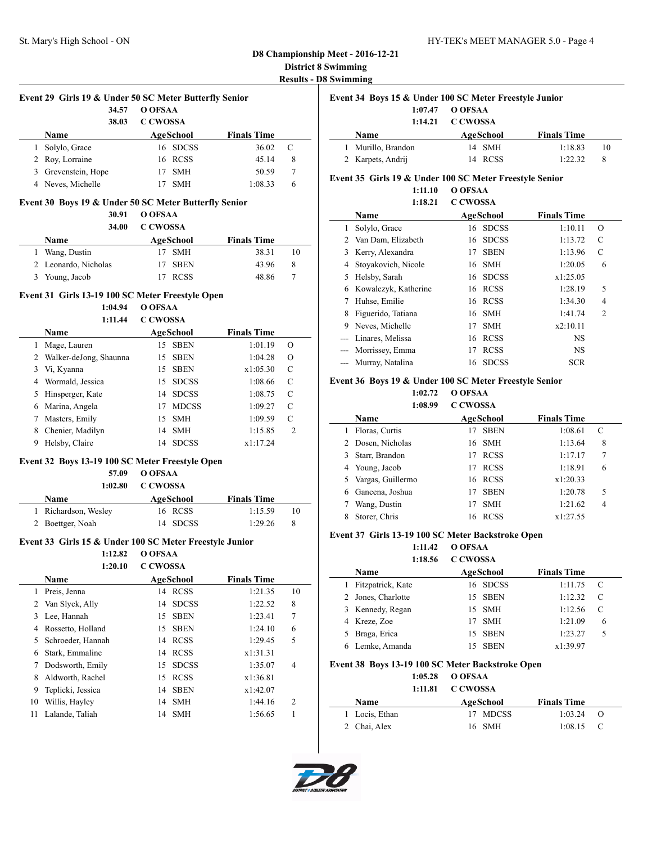# **D8 Championship Meet - 2016-12-21 District 8 Swimming**

| <b>Results - D8 Swimming</b> |  |  |  |
|------------------------------|--|--|--|
|                              |  |  |  |

|   | Event 29 Girls 19 & Under 50 SC Meter Butterfly Senior |                 |            |                    |   |  |
|---|--------------------------------------------------------|-----------------|------------|--------------------|---|--|
|   | 34.57                                                  | O OFSAA         |            |                    |   |  |
|   | 38.03                                                  | <b>C CWOSSA</b> |            |                    |   |  |
|   | <b>Name</b>                                            |                 | AgeSchool  | <b>Finals Time</b> |   |  |
|   | Solylo, Grace                                          |                 | 16 SDCSS   | 36.02              | C |  |
|   | 2 Roy, Lorraine                                        |                 | 16 RCSS    | 45.14              | 8 |  |
| 3 | Grevenstein, Hope                                      |                 | <b>SMH</b> | 50.59              | 7 |  |
|   | 4 Neves, Michelle                                      |                 | <b>SMH</b> | 1:08.33            | 6 |  |

#### **Event 30 Boys 19 & Under 50 SC Meter Butterfly Senior**

**30.91 O OFSAA**

| Name                 | AgeSchool | <b>Finals Time</b> |  |
|----------------------|-----------|--------------------|--|
| 1 Wang, Dustin       | 17 SMH    | 38.31<br>10        |  |
| 2 Leonardo, Nicholas | 17 SBEN   | 43.96<br>8         |  |
| 3 Young, Jacob       | 17 RCSS   | 48.86              |  |

#### **Event 31 Girls 13-19 100 SC Meter Freestyle Open**

**1:04.94 O OFSAA**

#### **1:11.44 C CWOSSA**

|    | Name                   | AgeSchool          | <b>Finals Time</b> |                |
|----|------------------------|--------------------|--------------------|----------------|
| 1  | Mage, Lauren           | <b>SBEN</b><br>15  | 1:01.19            | O              |
| 2  | Walker-deJong, Shaunna | <b>SBEN</b><br>15  | 1:04.28            | O              |
| 3  | Vi, Kyanna             | <b>SBEN</b><br>15  | x1:05.30           | C              |
| 4  | Wormald, Jessica       | <b>SDCSS</b><br>15 | 1:08.66            | C              |
| 5. | Hinsperger, Kate       | <b>SDCSS</b><br>14 | 1:08.75            | C              |
| 6  | Marina, Angela         | <b>MDCSS</b><br>17 | 1:09.27            | C              |
| 7  | Masters, Emily         | <b>SMH</b><br>15   | 1:09.59            | C              |
| 8  | Chenier, Madilyn       | <b>SMH</b><br>14   | 1:15.85            | $\overline{c}$ |
| 9  | Helsby, Claire         | <b>SDCSS</b><br>14 | x1:17.24           |                |

#### **Event 32 Boys 13-19 100 SC Meter Freestyle Open**

### **57.09 O OFSAA**

| 1:02.80 | C CWOSSA |
|---------|----------|
|         |          |

| <b>Name</b>          | AgeSchool | <b>Finals Time</b> |  |
|----------------------|-----------|--------------------|--|
| 1 Richardson, Wesley | 16 RCSS   | 1:15.59            |  |
| 2 Boettger, Noah     | 14 SDCSS  | 1:29.26            |  |

#### **Event 33 Girls 15 & Under 100 SC Meter Freestyle Junior**

**1:12.82 O OFSAA**

**1:20.10 C CWOSSA**

|    | <b>Name</b>       |     | AgeSchool    | <b>Finals Time</b> |                |
|----|-------------------|-----|--------------|--------------------|----------------|
| 1. | Preis, Jenna      | 14  | <b>RCSS</b>  | 1:21.35            | 10             |
|    | 2 Van Slyck, Ally | 14  | <b>SDCSS</b> | 1:22.52            | 8              |
| 3  | Lee, Hannah       | 15  | <b>SBEN</b>  | 1:23.41            | 7              |
| 4  | Rossetto, Holland | 15. | <b>SBEN</b>  | 1:24.10            | 6              |
| 5  | Schroeder, Hannah |     | 14 RCSS      | 1:29.45            | 5              |
| 6  | Stark, Emmaline   | 14  | <b>RCSS</b>  | x1:31.31           |                |
|    | Dodsworth, Emily  | 15. | <b>SDCSS</b> | 1:35.07            | 4              |
| 8  | Aldworth, Rachel  | 15  | <b>RCSS</b>  | x1:36.81           |                |
| 9  | Teplicki, Jessica |     | 14 SBEN      | x1:42.07           |                |
| 10 | Willis, Hayley    |     | 14 SMH       | 1:44.16            | $\overline{c}$ |
| 11 | Lalande, Taliah   |     | 14 SMH       | 1:56.65            |                |
|    |                   |     |              |                    |                |

|    | Event 34 Boys 15 & Under 100 SC Meter Freestyle Junior |           |        |                    |    |  |  |
|----|--------------------------------------------------------|-----------|--------|--------------------|----|--|--|
|    | 1:07.47                                                | O OFSAA   |        |                    |    |  |  |
|    | 1:14.21                                                | C CWOSSA  |        |                    |    |  |  |
|    | <b>Name</b>                                            | AgeSchool |        | <b>Finals Time</b> |    |  |  |
|    |                                                        |           |        |                    |    |  |  |
| I. | Murillo, Brandon                                       |           | 14 SMH | 1:18.83            | 10 |  |  |

#### **Event 35 Girls 19 & Under 100 SC Meter Freestyle Senior**

**1:11.10 O OFSAA 1:18.21 C CWOSSA**

|       | 1:18.21              | C CWOSSA |              |                    |                |
|-------|----------------------|----------|--------------|--------------------|----------------|
|       | Name                 |          | AgeSchool    | <b>Finals Time</b> |                |
| 1     | Solylo, Grace        |          | 16 SDCSS     | 1:10.11            | О              |
|       | 2 Van Dam, Elizabeth |          | 16 SDCSS     | 1:13.72            | C              |
| 3     | Kerry, Alexandra     | 17       | <b>SBEN</b>  | 1:13.96            | C              |
| 4     | Stoyakovich, Nicole  | 16       | <b>SMH</b>   | 1:20.05            | 6              |
| 5     | Helsby, Sarah        | 16       | <b>SDCSS</b> | x1:25.05           |                |
| 6     | Kowalczyk, Katherine |          | 16 RCSS      | 1:28.19            | 5              |
| 7     | Huhse, Emilie        | 16       | RCSS         | 1:34.30            | 4              |
| 8     | Figuerido, Tatiana   |          | 16 SMH       | 1:41.74            | $\overline{2}$ |
| 9     | Neves, Michelle      | 17       | <b>SMH</b>   | x2:10.11           |                |
|       | Linares, Melissa     | 16       | RCSS         | <b>NS</b>          |                |
| $---$ | Morrissey, Emma      | 17       | <b>RCSS</b>  | <b>NS</b>          |                |
| $---$ | Murray, Natalina     | 16       | <b>SDCSS</b> | <b>SCR</b>         |                |

#### **Event 36 Boys 19 & Under 100 SC Meter Freestyle Senior**

**1:02.72 O OFSAA**

|   | 1:08.99             | <b>C CWOSSA</b> |             |                    |   |  |
|---|---------------------|-----------------|-------------|--------------------|---|--|
|   | Name                |                 | AgeSchool   | <b>Finals Time</b> |   |  |
|   | Floras, Curtis      | 17              | <b>SBEN</b> | 1:08.61            | C |  |
|   | 2 Dosen, Nicholas   |                 | 16 SMH      | 1:13.64            | 8 |  |
|   | 3 Starr, Brandon    | 17              | <b>RCSS</b> | 1:17.17            | 7 |  |
|   | 4 Young, Jacob      | 17              | <b>RCSS</b> | 1:18.91            | 6 |  |
|   | 5 Vargas, Guillermo |                 | 16 RCSS     | x1:20.33           |   |  |
| 6 | Gancena, Joshua     | 17              | <b>SBEN</b> | 1:20.78            | 5 |  |
|   | Wang, Dustin        | 17              | <b>SMH</b>  | 1:21.62            | 4 |  |
|   | Storer, Chris       | 16              | <b>RCSS</b> | x1:27.55           |   |  |

#### **Event 37 Girls 13-19 100 SC Meter Backstroke Open**

**1:11.42 O OFSAA 1:18.56 C CWOSSA**

|    | 1:18.50            | COWOSSA           |                    |   |
|----|--------------------|-------------------|--------------------|---|
|    | Name               | AgeSchool         | <b>Finals Time</b> |   |
| I. | Fitzpatrick, Kate  | 16 SDCSS          | 1:11.75            | C |
|    | 2 Jones, Charlotte | 15 SBEN           | 1:12.32            | C |
|    | 3 Kennedy, Regan   | 15 SMH            | 1:12.56            | C |
|    | 4 Kreze, Zoe       | <b>SMH</b><br>17  | 1:21.09            | 6 |
|    | 5 Braga, Erica     | SBEN<br>15        | 1:23.27            | 5 |
|    | 6 Lemke, Amanda    | <b>SBEN</b><br>15 | x1:39.97           |   |
|    |                    |                   |                    |   |

#### **Event 38 Boys 13-19 100 SC Meter Backstroke Open**

|                | $1:05.28$ O OFSAA<br>1:11.81 C CWOSSA |                    |     |
|----------------|---------------------------------------|--------------------|-----|
| <b>Name</b>    | AgeSchool                             | <b>Finals Time</b> |     |
| 1 Locis, Ethan | 17 MDCSS                              | 1:03.24            | - 0 |
| 2 Chai, Alex   | 16 SMH                                | $1:08.15$ C        |     |

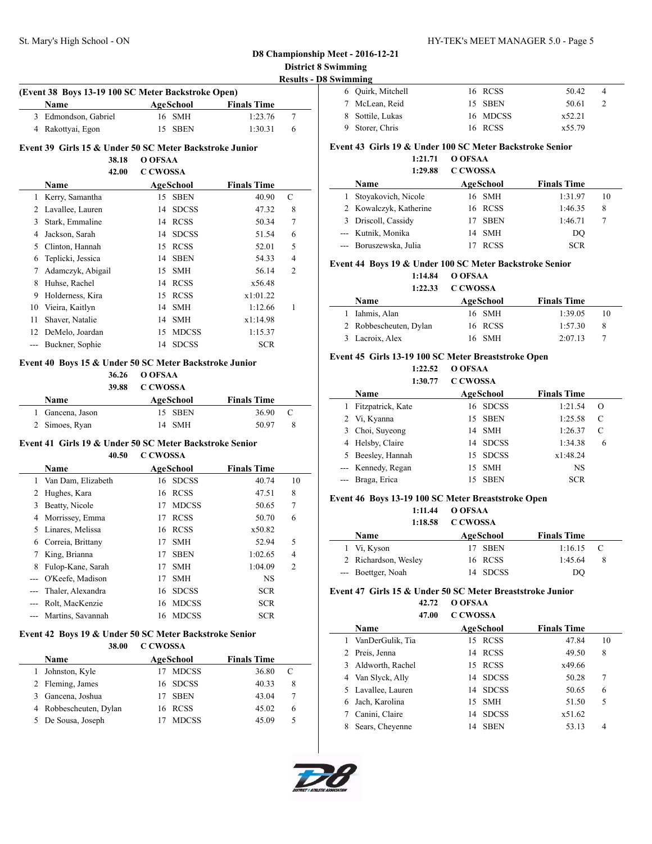### **D8 Championship Meet - 2016-12-21 District 8 Swimming**

| <b>Name</b>          | AgeSchool | <b>Finals Time</b> |  |
|----------------------|-----------|--------------------|--|
| 3 Edmondson, Gabriel | 16 SMH    | 1:23.76            |  |
| 4 Rakottyai, Egon    | 15 SBEN   | 1:30.31            |  |

#### **Event 39 Girls 15 & Under 50 SC Meter Backstroke Junior**

**38.18 O OFSAA**

#### **42.00 C CWOSSA**

|    | <b>Name</b>       |    | AgeSchool    | <b>Finals Time</b> |   |
|----|-------------------|----|--------------|--------------------|---|
| 1  | Kerry, Samantha   | 15 | <b>SBEN</b>  | 40.90              | C |
| 2  | Lavallee, Lauren  | 14 | <b>SDCSS</b> | 47.32              | 8 |
| 3  | Stark, Emmaline   | 14 | <b>RCSS</b>  | 50.34              | 7 |
| 4  | Jackson, Sarah    | 14 | <b>SDCSS</b> | 51.54              | 6 |
| 5  | Clinton, Hannah   | 15 | <b>RCSS</b>  | 52.01              | 5 |
| 6  | Teplicki, Jessica | 14 | <b>SBEN</b>  | 54.33              | 4 |
| 7  | Adamczyk, Abigail | 15 | <b>SMH</b>   | 56.14              | 2 |
| 8  | Huhse, Rachel     | 14 | <b>RCSS</b>  | x56.48             |   |
| 9  | Holderness, Kira  | 15 | <b>RCSS</b>  | x1:01.22           |   |
| 10 | Vieira, Kaitlyn   | 14 | <b>SMH</b>   | 1:12.66            |   |
| 11 | Shaver, Natalie   | 14 | <b>SMH</b>   | x1:14.98           |   |
| 12 | DeMelo, Joardan   | 15 | <b>MDCSS</b> | 1:15.37            |   |
|    | Buckner, Sophie   | 14 | <b>SDCSS</b> | <b>SCR</b>         |   |

#### **Event 40 Boys 15 & Under 50 SC Meter Backstroke Junior**

#### **36.26 O OFSAA**

| C CWOSSA<br>39.88 |
|-------------------|
|-------------------|

| <b>Name</b>      | AgeSchool | <b>Finals Time</b> |     |
|------------------|-----------|--------------------|-----|
| 1 Gancena, Jason | 15 SBEN   | 36.90              | - C |
| 2 Simoes, Ryan   | 14 SMH    | 50.97              |     |

#### **Event 41 Girls 19 & Under 50 SC Meter Backstroke Senior 40.50 C CWOSSA**

|    | <b>Name</b>        | AgeSchool          | <b>Finals Time</b> |                |
|----|--------------------|--------------------|--------------------|----------------|
|    | Van Dam, Elizabeth | <b>SDCSS</b><br>16 | 40.74              | 10             |
|    | Hughes, Kara       | 16 RCSS            | 47.51              | 8              |
| 3  | Beatty, Nicole     | <b>MDCSS</b><br>17 | 50.65              | 7              |
| 4  | Morrissey, Emma    | <b>RCSS</b><br>17  | 50.70              | 6              |
| 5. | Linares, Melissa   | 16 RCSS            | x50.82             |                |
| 6  | Correia, Brittany  | <b>SMH</b><br>17   | 52.94              | 5              |
|    | King, Brianna      | SBEN<br>17         | 1:02.65            | $\overline{4}$ |
| 8  | Fulop-Kane, Sarah  | <b>SMH</b><br>17   | 1:04.09            | $\overline{2}$ |
|    | O'Keefe, Madison   | <b>SMH</b><br>17   | <b>NS</b>          |                |
|    | Thaler, Alexandra  | <b>SDCSS</b><br>16 | <b>SCR</b>         |                |
|    | Rolt, MacKenzie    | 16 MDCSS           | <b>SCR</b>         |                |
|    | Martins, Savannah  | 16 MDCSS           | <b>SCR</b>         |                |

#### **Event 42 Boys 19 & Under 50 SC Meter Backstroke Senior 38.00 C CWOSSA**

|   | Name                   | AgeSchool    | <b>Finals Time</b> |   |
|---|------------------------|--------------|--------------------|---|
|   | Johnston, Kyle         | <b>MDCSS</b> | 36.80              |   |
|   | 2 Fleming, James       | 16 SDCSS     | 40.33              | 8 |
| 3 | Gancena, Joshua        | 17 SBEN      | 43.04              |   |
|   | 4 Robbescheuten, Dylan | 16 RCSS      | 45.02              | 6 |
|   | 5 De Sousa, Joseph     | <b>MDCSS</b> | 45.09              | 5 |

| vimming           |          |        |   |
|-------------------|----------|--------|---|
| 6 Ouirk, Mitchell | 16 RCSS  | 50.42  | 4 |
| 7 McLean, Reid    | 15 SBEN  | 50.61  |   |
| 8 Sottile, Lukas  | 16 MDCSS | x52.21 |   |
| 9 Storer, Chris   | 16 RCSS  | x55.79 |   |

#### **Event 43 Girls 19 & Under 100 SC Meter Backstroke Senior**

**1:21.71 O OFSAA 1:29.88 C CWOSSA**

|   | 1.47.00                | <u>u un voor</u> |                    |    |
|---|------------------------|------------------|--------------------|----|
|   | <b>Name</b>            | AgeSchool        | <b>Finals Time</b> |    |
| L | Stoyakovich, Nicole    | 16 SMH           | 1:31.97            | 10 |
|   | 2 Kowalczyk, Katherine | 16 RCSS          | 1:46.35            | 8  |
|   | 3 Driscoll, Cassidy    | <b>SBEN</b>      | 1:46.71            |    |
|   | --- Kutnik, Monika     | 14 SMH           | DO                 |    |
|   | --- Boruszewska, Julia | <b>RCSS</b>      | <b>SCR</b>         |    |

#### **Event 44 Boys 19 & Under 100 SC Meter Backstroke Senior**

**1:14.84 O OFSAA**

### **1:22.33 C CWOSSA**

| <b>Name</b>            | AgeSchool | <b>Finals Time</b> |    |
|------------------------|-----------|--------------------|----|
| Iahmis, Alan           | 16 SMH    | 1:39.05            | 10 |
| 2 Robbescheuten, Dylan | 16 RCSS   | 1:57.30            | -8 |
| 3 Lacroix, Alex        | 16 SMH    | 2:07.13            |    |

#### **Event 45 Girls 13-19 100 SC Meter Breaststroke Open**

**1:22.52 O OFSAA 1:30.77 C CWOSSA**

|   | Name               | AgeSchool | <b>Finals Time</b> |   |
|---|--------------------|-----------|--------------------|---|
|   | Fitzpatrick, Kate  | 16 SDCSS  | 1:21.54            | O |
|   | 2 Vi, Kyanna       | 15 SBEN   | 1:25.58            | C |
| 3 | Choi, Suyeong      | 14 SMH    | 1:26.37            | C |
|   | 4 Helsby, Claire   | 14 SDCSS  | 1:34.38            | 6 |
|   | Beesley, Hannah    | 15 SDCSS  | x1:48.24           |   |
|   | --- Kennedy, Regan | 15 SMH    | <b>NS</b>          |   |
|   | Braga, Erica       | 15 SBEN   | <b>SCR</b>         |   |

#### **Event 46 Boys 13-19 100 SC Meter Breaststroke Open**

**1:11.44 O OFSAA**

### **1:18.58 C CWOSSA**

| <b>Name</b>          | AgeSchool | <b>Finals Time</b> |  |
|----------------------|-----------|--------------------|--|
| 1 Vi, Kyson          | 17 SBEN   | $1:16.15$ C        |  |
| 2 Richardson, Wesley | 16 RCSS   | 1:45.64<br>-8      |  |
| --- Boettger, Noah   | 14 SDCSS  | DO                 |  |

#### **Event 47 Girls 15 & Under 50 SC Meter Breaststroke Junior**

**42.72 O OFSAA**

| 47.00 | <b>C CWOSSA</b> |
|-------|-----------------|
|       |                 |

| Name               | <b>AgeSchool</b>   | <b>Finals Time</b> |    |
|--------------------|--------------------|--------------------|----|
| 1 VanDerGulik, Tia | 15 RCSS            | 47.84              | 10 |
| 2 Preis, Jenna     | 14 RCSS            | 49.50              | 8  |
| 3 Aldworth, Rachel | 15 RCSS            | x49.66             |    |
| 4 Van Slyck, Ally  | 14 SDCSS           | 50.28              | 7  |
| 5 Lavallee, Lauren | 14 SDCSS           | 50.65              | 6  |
| Jach, Karolina     | 15 SMH             | 51.50              | 5  |
| Canini, Claire     | <b>SDCSS</b><br>14 | x51.62             |    |
| Sears, Cheyenne    | <b>SBEN</b><br>14  | 53.13              | 4  |

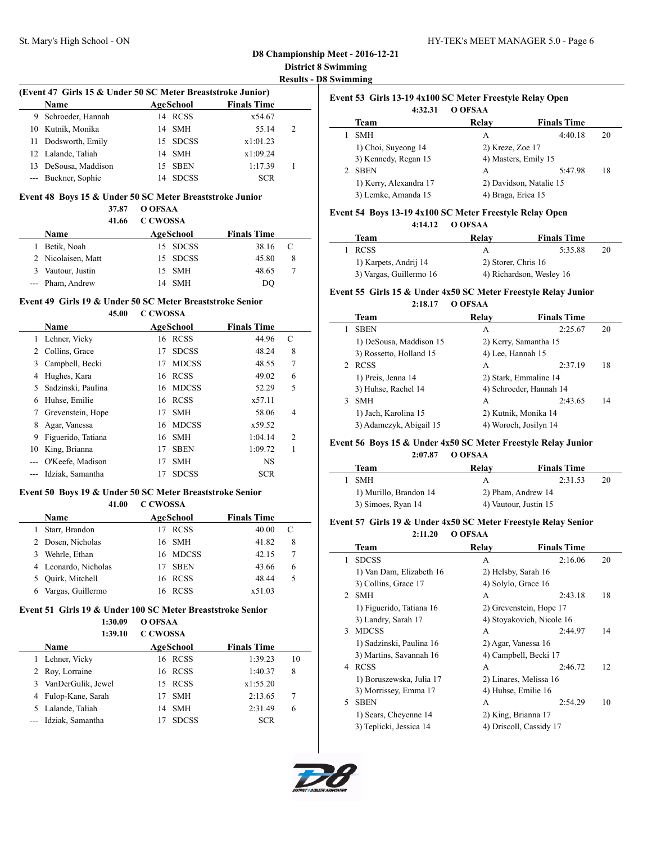#### **D8 Championship Meet - 2016-12-21 District 8 Swimming Results - D8 Swimming**

 $\overline{\phantom{0}}$ 

#### **(Event 47 Girls 15 & Under 50 SC Meter Breaststroke Junior)**

| <b>Name</b>          | AgeSchool |              | <b>Finals Time</b> |   |  |
|----------------------|-----------|--------------|--------------------|---|--|
| 9 Schroeder, Hannah  |           | 14 RCSS      | x54.67             |   |  |
| 10 Kutnik, Monika    |           | 14 SMH       | 55.14              | 2 |  |
| 11 Dodsworth, Emily  |           | 15 SDCSS     | x1:01.23           |   |  |
| 12 Lalande, Taliah   |           | 14 SMH       | x1:09.24           |   |  |
| 13 DeSousa, Maddison | 15.       | SBEN         | 1:17.39            |   |  |
| --- Buckner, Sophie  | 14        | <b>SDCSS</b> | <b>SCR</b>         |   |  |

### **Event 48 Boys 15 & Under 50 SC Meter Breaststroke Junior**

#### **37.87 O OFSAA 41.66 C CWOSSA**

|    | 41.00              | C CWOSSA |           |                    |             |  |
|----|--------------------|----------|-----------|--------------------|-------------|--|
|    | Name               |          | AgeSchool | <b>Finals Time</b> |             |  |
|    | 1 Betik, Noah      |          | 15 SDCSS  | 38.16              | $\mathbf C$ |  |
|    | 2 Nicolaisen, Matt |          | 15 SDCSS  | 45.80              | 8           |  |
| 3. | Vautour, Justin    |          | 15 SMH    | 48.65              |             |  |
|    | --- Pham, Andrew   |          | 14 SMH    | DO                 |             |  |

#### **Event 49 Girls 19 & Under 50 SC Meter Breaststroke Senior 45.00 C CWOSSA**

|    | <b>Name</b>        |    | AgeSchool    | <b>Finals Time</b> |                |
|----|--------------------|----|--------------|--------------------|----------------|
|    | Lehner, Vicky      |    | 16 RCSS      | 44.96              | C              |
|    | Collins, Grace     | 17 | <b>SDCSS</b> | 48.24              | 8              |
| 3  | Campbell, Becki    | 17 | <b>MDCSS</b> | 48.55              | 7              |
| 4  | Hughes, Kara       |    | 16 RCSS      | 49.02              | 6              |
| 5. | Sadzinski, Paulina |    | 16 MDCSS     | 52.29              | 5              |
| 6  | Huhse, Emilie      |    | 16 RCSS      | x57.11             |                |
|    | Grevenstein, Hope  | 17 | <b>SMH</b>   | 58.06              | 4              |
|    | Agar, Vanessa      |    | 16 MDCSS     | x59.52             |                |
| 9  | Figuerido, Tatiana | 16 | <b>SMH</b>   | 1:04.14            | $\overline{2}$ |
| 10 | King, Brianna      | 17 | <b>SBEN</b>  | 1:09.72            | 1              |
|    | O'Keefe, Madison   | 17 | <b>SMH</b>   | <b>NS</b>          |                |
|    | Idziak, Samantha   | 17 | <b>SDCSS</b> | <b>SCR</b>         |                |

# **Event 50 Boys 19 & Under 50 SC Meter Breaststroke Senior**

### **41.00 C CWOSSA**

|   | Name                 | AgeSchool |             | <b>Finals Time</b> |   |
|---|----------------------|-----------|-------------|--------------------|---|
|   | Starr, Brandon       |           | <b>RCSS</b> | 40.00              |   |
|   | 2 Dosen, Nicholas    | 16 SMH    |             | 41.82              | 8 |
| 3 | Wehrle, Ethan        |           | 16 MDCSS    | 42.15              | 7 |
|   | 4 Leonardo, Nicholas |           | <b>SBEN</b> | 43.66              | 6 |
|   | Quirk, Mitchell      | 16 RCSS   |             | 48.44              | 5 |
| 6 | Vargas, Guillermo    |           | <b>RCSS</b> | x51.03             |   |

#### **Event 51 Girls 19 & Under 100 SC Meter Breaststroke Senior**

**1:30.09 O OFSAA**

| 1:39.10              | <b>C CWOSSA</b> |              |                    |    |
|----------------------|-----------------|--------------|--------------------|----|
| <b>Name</b>          |                 | AgeSchool    | <b>Finals Time</b> |    |
| 1 Lehner, Vicky      |                 | 16 RCSS      | 1:39.23            | 10 |
| 2 Roy, Lorraine      |                 | 16 RCSS      | 1:40.37            | 8  |
| 3 VanDerGulik, Jewel |                 | 15 RCSS      | x1:55.20           |    |
| 4 Fulop-Kane, Sarah  |                 | <b>SMH</b>   | 2:13.65            | 7  |
| 5 Lalande, Taliah    | 14              | <b>SMH</b>   | 2:31.49            | 6  |
| Idziak, Samantha     |                 | <b>SDCSS</b> | <b>SCR</b>         |    |

| Event 53 Girls 13-19 4x100 SC Meter Freestyle Relay Open |                         |                    |    |  |  |
|----------------------------------------------------------|-------------------------|--------------------|----|--|--|
| 4:32.31                                                  | O OFSAA                 |                    |    |  |  |
| <b>Team</b>                                              | Relay                   | <b>Finals Time</b> |    |  |  |
| <b>SMH</b>                                               | А                       | 4:40.18            | 20 |  |  |
| 1) Choi, Suyeong 14                                      | 2) Kreze, Zoe 17        |                    |    |  |  |
| 3) Kennedy, Regan 15                                     | 4) Masters, Emily 15    |                    |    |  |  |
| <b>SBEN</b>                                              | A                       | 5:47.98            | 18 |  |  |
| 1) Kerry, Alexandra 17                                   | 2) Davidson, Natalie 15 |                    |    |  |  |
| 3) Lemke, Amanda 15                                      | 4) Braga, Erica 15      |                    |    |  |  |

#### **Event 54 Boys 13-19 4x100 SC Meter Freestyle Relay Open 4:14.12 O OFSAA**

| Team                    | Relav               | <b>Finals Time</b>       |  |
|-------------------------|---------------------|--------------------------|--|
| <b>RCSS</b>             |                     | 5:35.88<br>20            |  |
| 1) Karpets, Andrij 14   | 2) Storer, Chris 16 |                          |  |
| 3) Vargas, Guillermo 16 |                     | 4) Richardson, Wesley 16 |  |

#### **Event 55 Girls 15 & Under 4x50 SC Meter Freestyle Relay Junior 2:18.17 O OFSAA**

|   | Team                    | Relay                 | <b>Finals Time</b>      |    |
|---|-------------------------|-----------------------|-------------------------|----|
|   | <b>SBEN</b>             | А                     | 2:25.67                 | 20 |
|   | 1) DeSousa, Maddison 15 | 2) Kerry, Samantha 15 |                         |    |
|   | 3) Rossetto, Holland 15 | 4) Lee, Hannah 15     |                         |    |
|   | <b>RCSS</b>             | А                     | 2:37.19                 | 18 |
|   | 1) Preis, Jenna 14      | 2) Stark, Emmaline 14 |                         |    |
|   | 3) Huhse, Rachel 14     |                       | 4) Schroeder, Hannah 14 |    |
| 3 | SMH                     | А                     | 2:43.65                 | 14 |
|   | 1) Jach, Karolina 15    | 2) Kutnik, Monika 14  |                         |    |
|   | 3) Adamczyk, Abigail 15 | 4) Woroch, Josilyn 14 |                         |    |

#### **Event 56 Boys 15 & Under 4x50 SC Meter Freestyle Relay Junior**

| 2:07.87                | O OFSAA               |                    |    |  |
|------------------------|-----------------------|--------------------|----|--|
| Team                   | Relav                 | <b>Finals Time</b> |    |  |
| <b>SMH</b>             | А                     | 2:31.53            | 20 |  |
| 1) Murillo, Brandon 14 | 2) Pham, Andrew 14    |                    |    |  |
| 3) Simoes, Ryan 14     | 4) Vautour, Justin 15 |                    |    |  |

#### **Event 57 Girls 19 & Under 4x50 SC Meter Freestyle Relay Senior 2:11.20 O OFSAA**

|               | Team                     | Relay                 | <b>Finals Time</b>        |    |  |
|---------------|--------------------------|-----------------------|---------------------------|----|--|
| 1             | <b>SDCSS</b>             | A                     | 2:16.06                   | 20 |  |
|               | 1) Van Dam, Elizabeth 16 | 2) Helsby, Sarah 16   |                           |    |  |
|               | 3) Collins, Grace 17     | 4) Solylo, Grace 16   |                           |    |  |
| $\mathcal{L}$ | <b>SMH</b>               | A                     | 2:43.18                   | 18 |  |
|               | 1) Figuerido, Tatiana 16 |                       | 2) Grevenstein, Hope 17   |    |  |
|               | 3) Landry, Sarah 17      |                       | 4) Stoyakovich, Nicole 16 |    |  |
| 3             | <b>MDCSS</b>             | А                     | 2:44.97                   | 14 |  |
|               | 1) Sadzinski, Paulina 16 | 2) Agar, Vanessa 16   |                           |    |  |
|               | 3) Martins, Savannah 16  | 4) Campbell, Becki 17 |                           |    |  |
| 4             | <b>RCSS</b>              | A                     | 2:46.72                   | 12 |  |
|               | 1) Boruszewska, Julia 17 |                       | 2) Linares, Melissa 16    |    |  |
|               | 3) Morrissey, Emma 17    | 4) Huhse, Emilie 16   |                           |    |  |
| 5             | <b>SBEN</b>              | А                     | 2:54.29                   | 10 |  |
|               | 1) Sears, Cheyenne 14    | 2) King, Brianna 17   |                           |    |  |
|               | 3) Teplicki, Jessica 14  |                       | 4) Driscoll, Cassidy 17   |    |  |